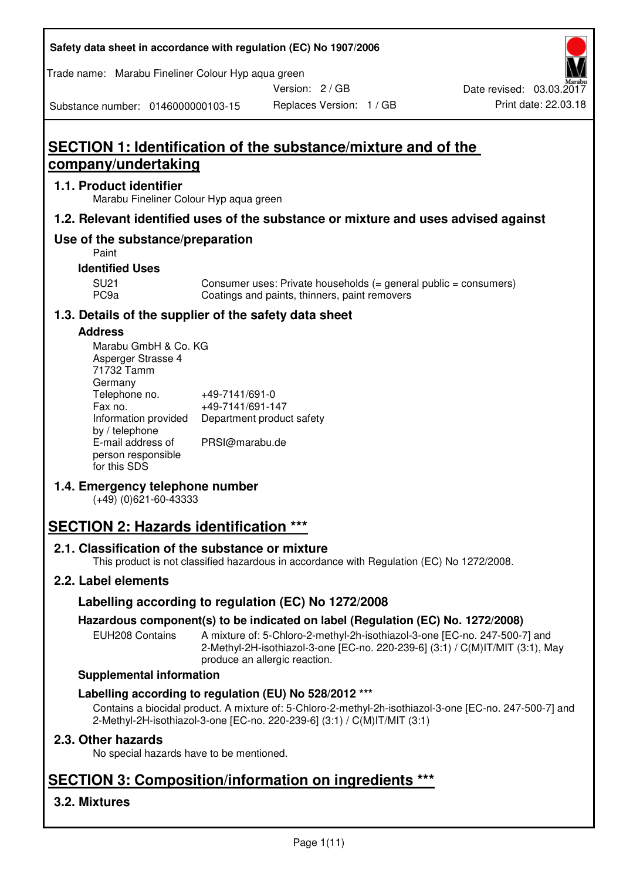**Safety data sheet in accordance with regulation (EC) No 1907/2006** 

Trade name: Marabu Fineliner Colour Hyp aqua green

Version: 2 / GB

Replaces Version: 1 / GB Print date: 22.03.18 Date revised: 03.03.2017

Substance number: 0146000000103-15

# **SECTION 1: Identification of the substance/mixture and of the company/undertaking**

## **1.1. Product identifier**

Marabu Fineliner Colour Hyp aqua green

## **1.2. Relevant identified uses of the substance or mixture and uses advised against**

## **Use of the substance/preparation**

Paint

## **Identified Uses**

SU21 Consumer uses: Private households (= general public = consumers)<br>PC9a Coatings and paints, thinners, paint removers Coatings and paints, thinners, paint removers

## **1.3. Details of the supplier of the safety data sheet**

## **Address**

| Marabu GmbH & Co. KG |                           |
|----------------------|---------------------------|
| Asperger Strasse 4   |                           |
| 71732 Tamm           |                           |
| Germany              |                           |
| Telephone no.        | +49-7141/691-0            |
| Fax no.              | +49-7141/691-147          |
| Information provided | Department product safety |
| by / telephone       |                           |
| E-mail address of    | PRSI@marabu.de            |
| person responsible   |                           |
| for this SDS         |                           |

## **1.4. Emergency telephone number**

(+49) (0)621-60-43333

# **SECTION 2: Hazards identification \*\*\***

## **2.1. Classification of the substance or mixture**

This product is not classified hazardous in accordance with Regulation (EC) No 1272/2008.

## **2.2. Label elements**

## **Labelling according to regulation (EC) No 1272/2008**

## **Hazardous component(s) to be indicated on label (Regulation (EC) No. 1272/2008)**

EUH208 Contains A mixture of: 5-Chloro-2-methyl-2h-isothiazol-3-one [EC-no. 247-500-7] and 2-Methyl-2H-isothiazol-3-one [EC-no. 220-239-6] (3:1) / C(M)IT/MIT (3:1), May produce an allergic reaction.

## **Supplemental information**

## **Labelling according to regulation (EU) No 528/2012 \*\*\***

Contains a biocidal product. A mixture of: 5-Chloro-2-methyl-2h-isothiazol-3-one [EC-no. 247-500-7] and 2-Methyl-2H-isothiazol-3-one [EC-no. 220-239-6] (3:1) / C(M)IT/MIT (3:1)

## **2.3. Other hazards**

No special hazards have to be mentioned.

# **SECTION 3: Composition/information on ingredients \*\*\***

## **3.2. Mixtures**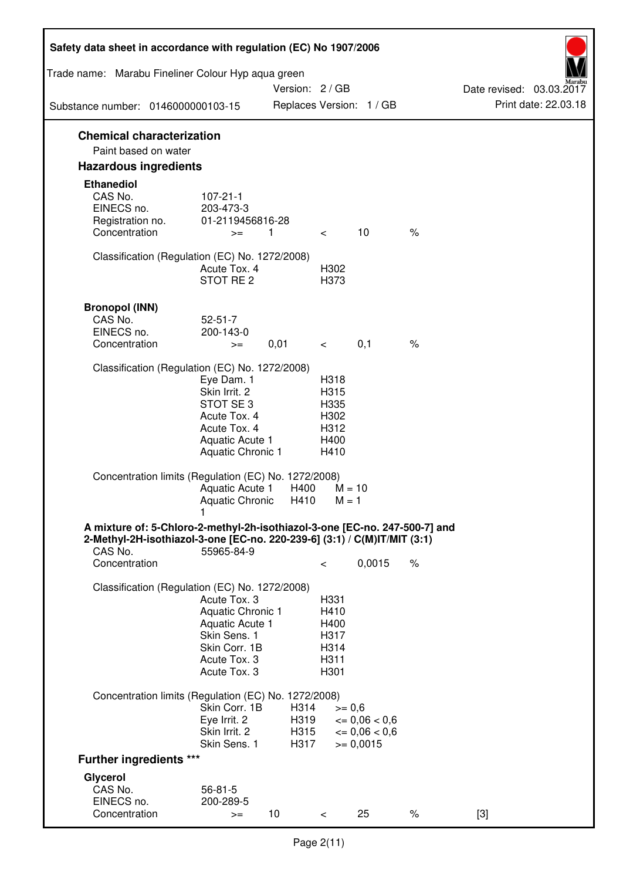| Safety data sheet in accordance with regulation (EC) No 1907/2006                                                                                                 |                                                                                                                             |                              |                                                      |                                                                   |      |                          |
|-------------------------------------------------------------------------------------------------------------------------------------------------------------------|-----------------------------------------------------------------------------------------------------------------------------|------------------------------|------------------------------------------------------|-------------------------------------------------------------------|------|--------------------------|
| Trade name: Marabu Fineliner Colour Hyp aqua green                                                                                                                |                                                                                                                             | Version: 2 / GB              |                                                      |                                                                   |      | Date revised: 03.03.2017 |
| Substance number: 0146000000103-15                                                                                                                                |                                                                                                                             |                              |                                                      | Replaces Version: 1 / GB                                          |      | Print date: 22.03.18     |
| <b>Chemical characterization</b><br>Paint based on water                                                                                                          |                                                                                                                             |                              |                                                      |                                                                   |      |                          |
| <b>Hazardous ingredients</b>                                                                                                                                      |                                                                                                                             |                              |                                                      |                                                                   |      |                          |
| <b>Ethanediol</b><br>CAS No.<br>EINECS no.<br>Registration no.                                                                                                    | $107 - 21 - 1$<br>203-473-3<br>01-2119456816-28                                                                             |                              |                                                      |                                                                   |      |                          |
| Concentration                                                                                                                                                     | $>=$                                                                                                                        | 1                            | $\lt$                                                | 10                                                                | $\%$ |                          |
| Classification (Regulation (EC) No. 1272/2008)                                                                                                                    | Acute Tox. 4<br>STOT RE <sub>2</sub>                                                                                        |                              | H302<br>H373                                         |                                                                   |      |                          |
| <b>Bronopol (INN)</b><br>CAS No.<br>EINECS no.<br>Concentration                                                                                                   | $52 - 51 - 7$<br>200-143-0<br>$>=$                                                                                          | 0,01                         | $\lt$                                                | 0,1                                                               | $\%$ |                          |
| Classification (Regulation (EC) No. 1272/2008)                                                                                                                    |                                                                                                                             |                              |                                                      |                                                                   |      |                          |
|                                                                                                                                                                   | Eye Dam. 1<br>Skin Irrit. 2<br>STOT SE <sub>3</sub><br>Acute Tox. 4<br>Acute Tox. 4<br>Aquatic Acute 1<br>Aquatic Chronic 1 |                              | H318<br>H315<br>H335<br>H302<br>H312<br>H400<br>H410 |                                                                   |      |                          |
| Concentration limits (Regulation (EC) No. 1272/2008)                                                                                                              | Aquatic Acute 1<br>Aquatic Chronic                                                                                          | H400<br>H410                 | $M = 10$<br>$M = 1$                                  |                                                                   |      |                          |
| A mixture of: 5-Chloro-2-methyl-2h-isothiazol-3-one [EC-no. 247-500-7] and<br>2-Methyl-2H-isothiazol-3-one [EC-no. 220-239-6] (3:1) / C(M)IT/MIT (3:1)<br>CAS No. | 55965-84-9                                                                                                                  |                              |                                                      |                                                                   |      |                          |
| Concentration                                                                                                                                                     |                                                                                                                             |                              | $\,<\,$                                              | 0,0015                                                            | $\%$ |                          |
| Classification (Regulation (EC) No. 1272/2008)                                                                                                                    | Acute Tox. 3<br>Aquatic Chronic 1<br>Aquatic Acute 1<br>Skin Sens. 1<br>Skin Corr. 1B<br>Acute Tox. 3<br>Acute Tox. 3       |                              | H331<br>H410<br>H400<br>H317<br>H314<br>H311<br>H301 |                                                                   |      |                          |
| Concentration limits (Regulation (EC) No. 1272/2008)                                                                                                              |                                                                                                                             |                              |                                                      |                                                                   |      |                          |
|                                                                                                                                                                   | Skin Corr. 1B<br>Eye Irrit. 2<br>Skin Irrit. 2<br>Skin Sens. 1                                                              | H314<br>H319<br>H315<br>H317 | $>= 0,6$                                             | $\epsilon = 0.06 < 0.6$<br>$\epsilon = 0.06 < 0.6$<br>$>= 0,0015$ |      |                          |
| <b>Further ingredients ***</b>                                                                                                                                    |                                                                                                                             |                              |                                                      |                                                                   |      |                          |
| Glycerol<br>CAS No.<br>EINECS no.<br>Concentration                                                                                                                | $56 - 81 - 5$<br>200-289-5                                                                                                  | 10                           |                                                      | 25                                                                | $\%$ | $[3]$                    |
|                                                                                                                                                                   | $>=$                                                                                                                        |                              | $\lt$                                                |                                                                   |      |                          |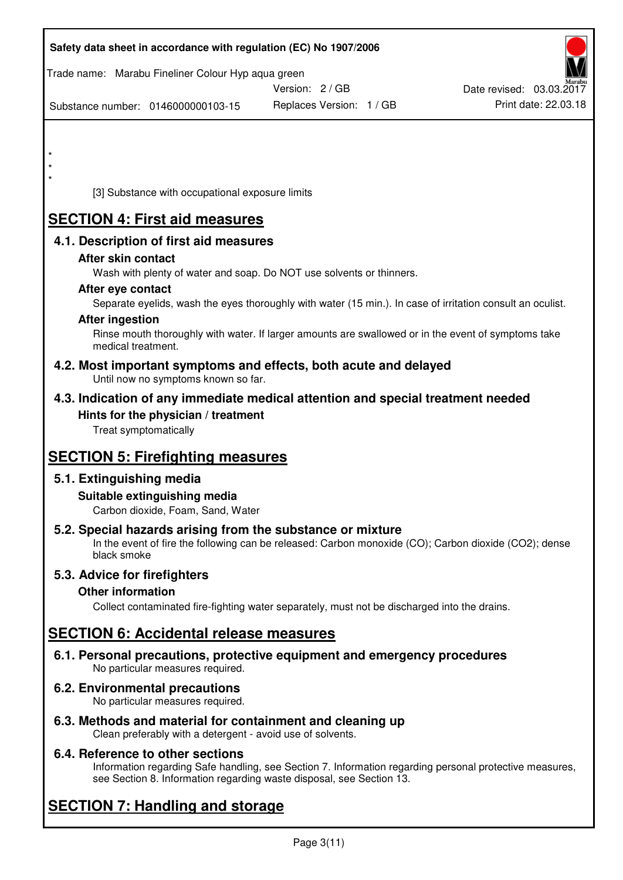| Safety data sheet in accordance with regulation (EC) No 1907/2006                                                                                                                  |                          |                          |
|------------------------------------------------------------------------------------------------------------------------------------------------------------------------------------|--------------------------|--------------------------|
| Trade name: Marabu Fineliner Colour Hyp aqua green                                                                                                                                 | Version: 2 / GB          | Date revised: 03.03.2017 |
| Substance number: 0146000000103-15                                                                                                                                                 | Replaces Version: 1 / GB | Print date: 22.03.18     |
|                                                                                                                                                                                    |                          |                          |
| $\star$                                                                                                                                                                            |                          |                          |
| [3] Substance with occupational exposure limits                                                                                                                                    |                          |                          |
| <b>SECTION 4: First aid measures</b>                                                                                                                                               |                          |                          |
| 4.1. Description of first aid measures                                                                                                                                             |                          |                          |
| After skin contact<br>Wash with plenty of water and soap. Do NOT use solvents or thinners.<br>After eye contact                                                                    |                          |                          |
| Separate eyelids, wash the eyes thoroughly with water (15 min.). In case of irritation consult an oculist.<br><b>After ingestion</b>                                               |                          |                          |
| Rinse mouth thoroughly with water. If larger amounts are swallowed or in the event of symptoms take<br>medical treatment.                                                          |                          |                          |
| 4.2. Most important symptoms and effects, both acute and delayed<br>Until now no symptoms known so far.                                                                            |                          |                          |
| 4.3. Indication of any immediate medical attention and special treatment needed                                                                                                    |                          |                          |
| Hints for the physician / treatment<br>Treat symptomatically                                                                                                                       |                          |                          |
| <b>SECTION 5: Firefighting measures</b>                                                                                                                                            |                          |                          |
| 5.1. Extinguishing media                                                                                                                                                           |                          |                          |
| Suitable extinguishing media<br>Carbon dioxide, Foam, Sand, Water                                                                                                                  |                          |                          |
| 5.2. Special hazards arising from the substance or mixture<br>In the event of fire the following can be released: Carbon monoxide (CO); Carbon dioxide (CO2); dense<br>black smoke |                          |                          |
| 5.3. Advice for firefighters                                                                                                                                                       |                          |                          |
| <b>Other information</b><br>Collect contaminated fire-fighting water separately, must not be discharged into the drains.                                                           |                          |                          |
| <b>SECTION 6: Accidental release measures</b>                                                                                                                                      |                          |                          |
| 6.1. Personal precautions, protective equipment and emergency procedures<br>No particular measures required.                                                                       |                          |                          |
| <b>6.2. Environmental precautions</b><br>No particular measures required.                                                                                                          |                          |                          |
| 6.3. Methods and material for containment and cleaning up                                                                                                                          |                          |                          |

Clean preferably with a detergent - avoid use of solvents.

## **6.4. Reference to other sections**

Information regarding Safe handling, see Section 7. Information regarding personal protective measures, see Section 8. Information regarding waste disposal, see Section 13.

# **SECTION 7: Handling and storage**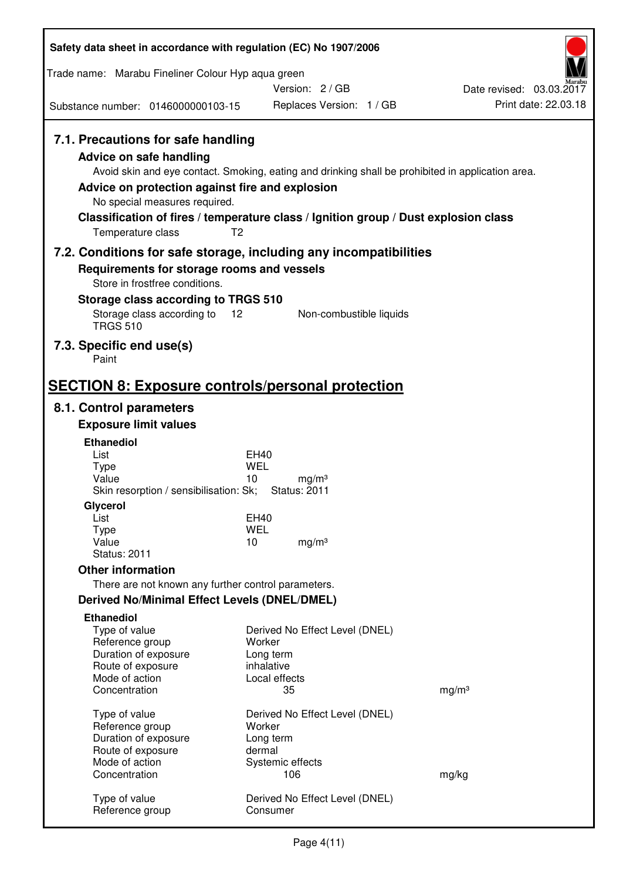| Safety data sheet in accordance with regulation (EC) No 1907/2006                                                                                        |                                                                                                                                                                                          |                                                  |  |
|----------------------------------------------------------------------------------------------------------------------------------------------------------|------------------------------------------------------------------------------------------------------------------------------------------------------------------------------------------|--------------------------------------------------|--|
| Trade name: Marabu Fineliner Colour Hyp aqua green                                                                                                       |                                                                                                                                                                                          |                                                  |  |
|                                                                                                                                                          | Version: 2/GB                                                                                                                                                                            | Date revised: 03.03.2017<br>Print date: 22.03.18 |  |
| Substance number: 0146000000103-15                                                                                                                       | Replaces Version: 1 / GB                                                                                                                                                                 |                                                  |  |
| 7.1. Precautions for safe handling<br><b>Advice on safe handling</b><br>Advice on protection against fire and explosion<br>No special measures required. | Avoid skin and eye contact. Smoking, eating and drinking shall be prohibited in application area.<br>Classification of fires / temperature class / Ignition group / Dust explosion class |                                                  |  |
| Temperature class                                                                                                                                        | T <sub>2</sub>                                                                                                                                                                           |                                                  |  |
|                                                                                                                                                          | 7.2. Conditions for safe storage, including any incompatibilities                                                                                                                        |                                                  |  |
| Requirements for storage rooms and vessels<br>Store in frostfree conditions.<br>Storage class according to TRGS 510                                      |                                                                                                                                                                                          |                                                  |  |
| Storage class according to<br><b>TRGS 510</b>                                                                                                            | Non-combustible liquids<br>12                                                                                                                                                            |                                                  |  |
| 7.3. Specific end use(s)<br>Paint                                                                                                                        |                                                                                                                                                                                          |                                                  |  |
|                                                                                                                                                          | <b>SECTION 8: Exposure controls/personal protection</b>                                                                                                                                  |                                                  |  |
| 8.1. Control parameters                                                                                                                                  |                                                                                                                                                                                          |                                                  |  |
| <b>Exposure limit values</b>                                                                                                                             |                                                                                                                                                                                          |                                                  |  |
| <b>Ethanediol</b>                                                                                                                                        |                                                                                                                                                                                          |                                                  |  |
| List<br><b>Type</b>                                                                                                                                      | EH40<br>WEL                                                                                                                                                                              |                                                  |  |
| Value                                                                                                                                                    | 10<br>mg/m <sup>3</sup>                                                                                                                                                                  |                                                  |  |
| Skin resorption / sensibilisation: Sk;                                                                                                                   | <b>Status: 2011</b>                                                                                                                                                                      |                                                  |  |
| Glycerol<br>List                                                                                                                                         | <b>EH40</b>                                                                                                                                                                              |                                                  |  |
| <b>Type</b>                                                                                                                                              | <b>WEL</b>                                                                                                                                                                               |                                                  |  |
| Value                                                                                                                                                    | 10<br>mg/m <sup>3</sup>                                                                                                                                                                  |                                                  |  |
| <b>Status: 2011</b>                                                                                                                                      |                                                                                                                                                                                          |                                                  |  |
| <b>Other information</b>                                                                                                                                 |                                                                                                                                                                                          |                                                  |  |
| There are not known any further control parameters.                                                                                                      |                                                                                                                                                                                          |                                                  |  |
| Derived No/Minimal Effect Levels (DNEL/DMEL)                                                                                                             |                                                                                                                                                                                          |                                                  |  |
| <b>Ethanediol</b><br>Type of value<br>Reference group<br>Duration of exposure<br>Route of exposure<br>Mode of action                                     | Derived No Effect Level (DNEL)<br>Worker<br>Long term<br>inhalative<br>Local effects                                                                                                     |                                                  |  |
| Concentration                                                                                                                                            | 35                                                                                                                                                                                       | mg/m <sup>3</sup>                                |  |
| Type of value<br>Reference group<br>Duration of exposure<br>Route of exposure<br>Mode of action                                                          | Derived No Effect Level (DNEL)<br>Worker<br>Long term<br>dermal<br>Systemic effects                                                                                                      |                                                  |  |
| Concentration                                                                                                                                            | 106                                                                                                                                                                                      | mg/kg                                            |  |
| Type of value<br>Reference group                                                                                                                         | Derived No Effect Level (DNEL)<br>Consumer                                                                                                                                               |                                                  |  |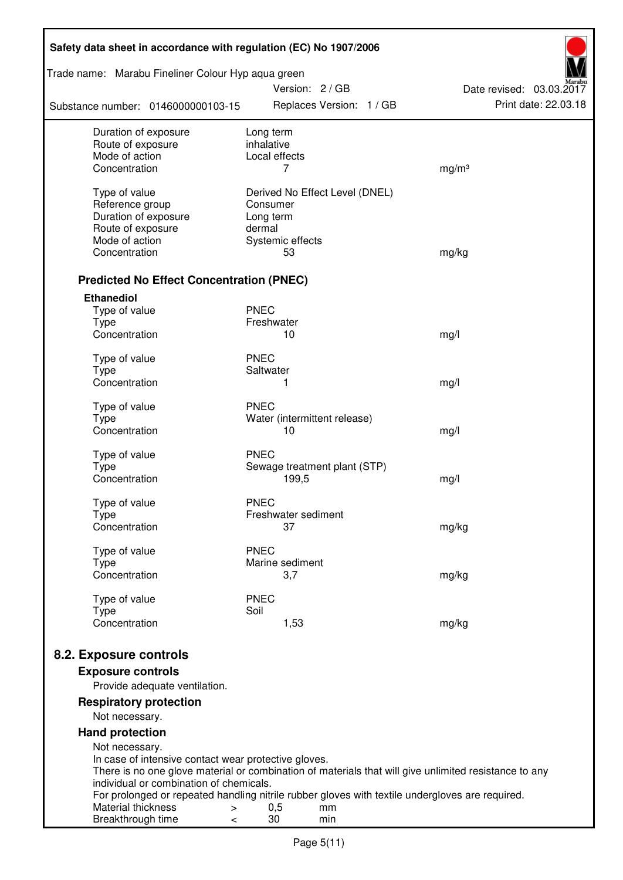| Safety data sheet in accordance with regulation (EC) No 1907/2006 |                                                                                                       |                          |  |  |
|-------------------------------------------------------------------|-------------------------------------------------------------------------------------------------------|--------------------------|--|--|
| Trade name: Marabu Fineliner Colour Hyp aqua green                | Version: 2/GB                                                                                         | Date revised: 03.03.2017 |  |  |
| Substance number: 0146000000103-15                                | Replaces Version: 1 / GB                                                                              | Print date: 22.03.18     |  |  |
| Duration of exposure                                              | Long term                                                                                             |                          |  |  |
| Route of exposure                                                 | inhalative                                                                                            |                          |  |  |
| Mode of action<br>Concentration                                   | Local effects<br>7                                                                                    | mg/m <sup>3</sup>        |  |  |
|                                                                   |                                                                                                       |                          |  |  |
| Type of value                                                     | Derived No Effect Level (DNEL)                                                                        |                          |  |  |
| Reference group                                                   | Consumer                                                                                              |                          |  |  |
| Duration of exposure                                              | Long term                                                                                             |                          |  |  |
| Route of exposure                                                 | dermal                                                                                                |                          |  |  |
| Mode of action                                                    | Systemic effects                                                                                      |                          |  |  |
| Concentration                                                     | 53                                                                                                    | mg/kg                    |  |  |
| <b>Predicted No Effect Concentration (PNEC)</b>                   |                                                                                                       |                          |  |  |
| <b>Ethanediol</b>                                                 |                                                                                                       |                          |  |  |
| Type of value                                                     | <b>PNEC</b>                                                                                           |                          |  |  |
| <b>Type</b>                                                       | Freshwater                                                                                            |                          |  |  |
| Concentration                                                     | 10                                                                                                    | mg/l                     |  |  |
|                                                                   |                                                                                                       |                          |  |  |
| Type of value                                                     | <b>PNEC</b><br>Saltwater                                                                              |                          |  |  |
| <b>Type</b><br>Concentration                                      | 1                                                                                                     | mg/l                     |  |  |
|                                                                   |                                                                                                       |                          |  |  |
| Type of value                                                     | <b>PNEC</b>                                                                                           |                          |  |  |
| <b>Type</b>                                                       | Water (intermittent release)                                                                          |                          |  |  |
| Concentration                                                     | 10                                                                                                    | mg/l                     |  |  |
| Type of value                                                     | <b>PNEC</b>                                                                                           |                          |  |  |
| <b>Type</b>                                                       | Sewage treatment plant (STP)                                                                          |                          |  |  |
| Concentration                                                     | 199,5                                                                                                 | mg/l                     |  |  |
|                                                                   |                                                                                                       |                          |  |  |
| Type of value                                                     | <b>PNEC</b>                                                                                           |                          |  |  |
| Type                                                              | Freshwater sediment                                                                                   |                          |  |  |
| Concentration                                                     | 37                                                                                                    | mg/kg                    |  |  |
| Type of value                                                     | <b>PNEC</b>                                                                                           |                          |  |  |
| Type                                                              | Marine sediment                                                                                       |                          |  |  |
| Concentration                                                     | 3,7                                                                                                   | mg/kg                    |  |  |
|                                                                   |                                                                                                       |                          |  |  |
| Type of value                                                     | <b>PNEC</b><br>Soil                                                                                   |                          |  |  |
| <b>Type</b><br>Concentration                                      | 1,53                                                                                                  | mg/kg                    |  |  |
|                                                                   |                                                                                                       |                          |  |  |
| 8.2. Exposure controls                                            |                                                                                                       |                          |  |  |
| <b>Exposure controls</b>                                          |                                                                                                       |                          |  |  |
| Provide adequate ventilation.                                     |                                                                                                       |                          |  |  |
| <b>Respiratory protection</b>                                     |                                                                                                       |                          |  |  |
| Not necessary.                                                    |                                                                                                       |                          |  |  |
| <b>Hand protection</b>                                            |                                                                                                       |                          |  |  |
| Not necessary.                                                    |                                                                                                       |                          |  |  |
| In case of intensive contact wear protective gloves.              |                                                                                                       |                          |  |  |
|                                                                   | There is no one glove material or combination of materials that will give unlimited resistance to any |                          |  |  |
| individual or combination of chemicals.                           | For prolonged or repeated handling nitrile rubber gloves with textile undergloves are required.       |                          |  |  |
| Material thickness<br>$\,>$                                       | 0,5<br>mm                                                                                             |                          |  |  |
| Breakthrough time<br><                                            | 30<br>min                                                                                             |                          |  |  |
|                                                                   |                                                                                                       |                          |  |  |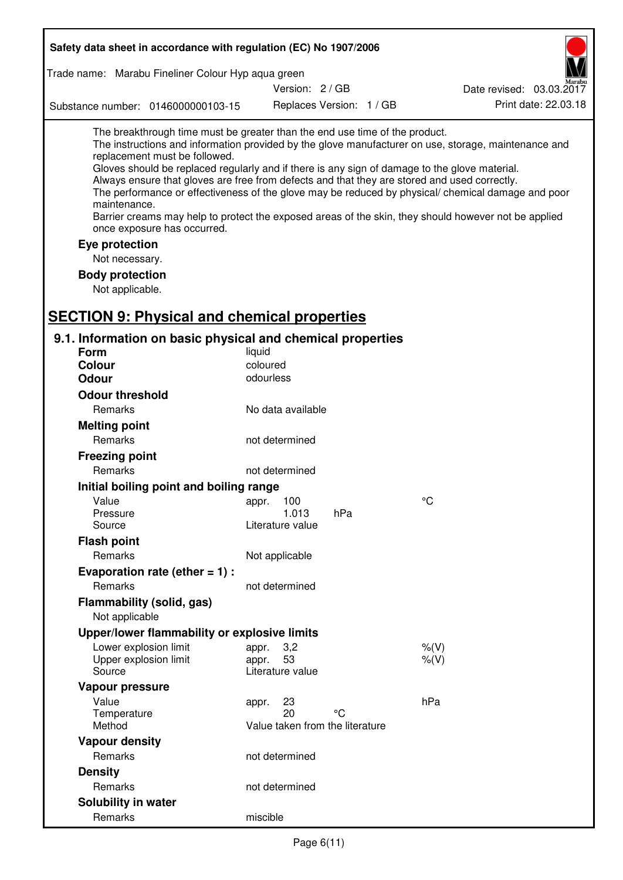| Safety data sheet in accordance with regulation (EC) No 1907/2006                                                                                                                                                                                                                                                                                                                                                                             |                                 |                          |                                                                                                                                                                                                                                                                                                                    |
|-----------------------------------------------------------------------------------------------------------------------------------------------------------------------------------------------------------------------------------------------------------------------------------------------------------------------------------------------------------------------------------------------------------------------------------------------|---------------------------------|--------------------------|--------------------------------------------------------------------------------------------------------------------------------------------------------------------------------------------------------------------------------------------------------------------------------------------------------------------|
| Trade name: Marabu Fineliner Colour Hyp aqua green                                                                                                                                                                                                                                                                                                                                                                                            |                                 |                          |                                                                                                                                                                                                                                                                                                                    |
|                                                                                                                                                                                                                                                                                                                                                                                                                                               | Version: 2 / GB                 |                          | Date revised: 03.03.2017                                                                                                                                                                                                                                                                                           |
| Substance number: 0146000000103-15                                                                                                                                                                                                                                                                                                                                                                                                            |                                 | Replaces Version: 1 / GB | Print date: 22.03.18                                                                                                                                                                                                                                                                                               |
| The breakthrough time must be greater than the end use time of the product.<br>replacement must be followed.<br>Gloves should be replaced regularly and if there is any sign of damage to the glove material.<br>Always ensure that gloves are free from defects and that they are stored and used correctly.<br>maintenance.<br>once exposure has occurred.<br>Eye protection<br>Not necessary.<br><b>Body protection</b><br>Not applicable. |                                 |                          | The instructions and information provided by the glove manufacturer on use, storage, maintenance and<br>The performance or effectiveness of the glove may be reduced by physical/ chemical damage and poor<br>Barrier creams may help to protect the exposed areas of the skin, they should however not be applied |
| <b>SECTION 9: Physical and chemical properties</b>                                                                                                                                                                                                                                                                                                                                                                                            |                                 |                          |                                                                                                                                                                                                                                                                                                                    |
| 9.1. Information on basic physical and chemical properties<br><b>Form</b>                                                                                                                                                                                                                                                                                                                                                                     | liquid                          |                          |                                                                                                                                                                                                                                                                                                                    |
| <b>Colour</b>                                                                                                                                                                                                                                                                                                                                                                                                                                 | coloured                        |                          |                                                                                                                                                                                                                                                                                                                    |
| Odour                                                                                                                                                                                                                                                                                                                                                                                                                                         | odourless                       |                          |                                                                                                                                                                                                                                                                                                                    |
| <b>Odour threshold</b>                                                                                                                                                                                                                                                                                                                                                                                                                        |                                 |                          |                                                                                                                                                                                                                                                                                                                    |
| Remarks                                                                                                                                                                                                                                                                                                                                                                                                                                       | No data available               |                          |                                                                                                                                                                                                                                                                                                                    |
| <b>Melting point</b>                                                                                                                                                                                                                                                                                                                                                                                                                          |                                 |                          |                                                                                                                                                                                                                                                                                                                    |
| Remarks                                                                                                                                                                                                                                                                                                                                                                                                                                       | not determined                  |                          |                                                                                                                                                                                                                                                                                                                    |
| <b>Freezing point</b>                                                                                                                                                                                                                                                                                                                                                                                                                         |                                 |                          |                                                                                                                                                                                                                                                                                                                    |
| Remarks                                                                                                                                                                                                                                                                                                                                                                                                                                       | not determined                  |                          |                                                                                                                                                                                                                                                                                                                    |
| Initial boiling point and boiling range                                                                                                                                                                                                                                                                                                                                                                                                       |                                 |                          |                                                                                                                                                                                                                                                                                                                    |
| Value                                                                                                                                                                                                                                                                                                                                                                                                                                         | 100<br>appr.                    |                          | °C                                                                                                                                                                                                                                                                                                                 |
| Pressure                                                                                                                                                                                                                                                                                                                                                                                                                                      | 1.013                           | hPa                      |                                                                                                                                                                                                                                                                                                                    |
| Source                                                                                                                                                                                                                                                                                                                                                                                                                                        | Literature value                |                          |                                                                                                                                                                                                                                                                                                                    |
| <b>Flash point</b>                                                                                                                                                                                                                                                                                                                                                                                                                            |                                 |                          |                                                                                                                                                                                                                                                                                                                    |
| Remarks                                                                                                                                                                                                                                                                                                                                                                                                                                       | Not applicable                  |                          |                                                                                                                                                                                                                                                                                                                    |
| Evaporation rate (ether $= 1$ ) :                                                                                                                                                                                                                                                                                                                                                                                                             |                                 |                          |                                                                                                                                                                                                                                                                                                                    |
| Remarks                                                                                                                                                                                                                                                                                                                                                                                                                                       | not determined                  |                          |                                                                                                                                                                                                                                                                                                                    |
| Flammability (solid, gas)<br>Not applicable                                                                                                                                                                                                                                                                                                                                                                                                   |                                 |                          |                                                                                                                                                                                                                                                                                                                    |
| Upper/lower flammability or explosive limits                                                                                                                                                                                                                                                                                                                                                                                                  |                                 |                          |                                                                                                                                                                                                                                                                                                                    |
| Lower explosion limit                                                                                                                                                                                                                                                                                                                                                                                                                         | 3,2<br>appr.                    |                          | $%$ (V)                                                                                                                                                                                                                                                                                                            |
| Upper explosion limit<br>Source                                                                                                                                                                                                                                                                                                                                                                                                               | 53<br>appr.<br>Literature value |                          | $%$ $(V)$                                                                                                                                                                                                                                                                                                          |
|                                                                                                                                                                                                                                                                                                                                                                                                                                               |                                 |                          |                                                                                                                                                                                                                                                                                                                    |
| Vapour pressure<br>Value                                                                                                                                                                                                                                                                                                                                                                                                                      | 23<br>appr.                     |                          | hPa                                                                                                                                                                                                                                                                                                                |
| Temperature                                                                                                                                                                                                                                                                                                                                                                                                                                   | 20                              | °C                       |                                                                                                                                                                                                                                                                                                                    |
| Method                                                                                                                                                                                                                                                                                                                                                                                                                                        | Value taken from the literature |                          |                                                                                                                                                                                                                                                                                                                    |
| <b>Vapour density</b>                                                                                                                                                                                                                                                                                                                                                                                                                         |                                 |                          |                                                                                                                                                                                                                                                                                                                    |
| Remarks                                                                                                                                                                                                                                                                                                                                                                                                                                       | not determined                  |                          |                                                                                                                                                                                                                                                                                                                    |
| <b>Density</b>                                                                                                                                                                                                                                                                                                                                                                                                                                |                                 |                          |                                                                                                                                                                                                                                                                                                                    |
| Remarks                                                                                                                                                                                                                                                                                                                                                                                                                                       | not determined                  |                          |                                                                                                                                                                                                                                                                                                                    |
| Solubility in water                                                                                                                                                                                                                                                                                                                                                                                                                           |                                 |                          |                                                                                                                                                                                                                                                                                                                    |
| Remarks                                                                                                                                                                                                                                                                                                                                                                                                                                       | miscible                        |                          |                                                                                                                                                                                                                                                                                                                    |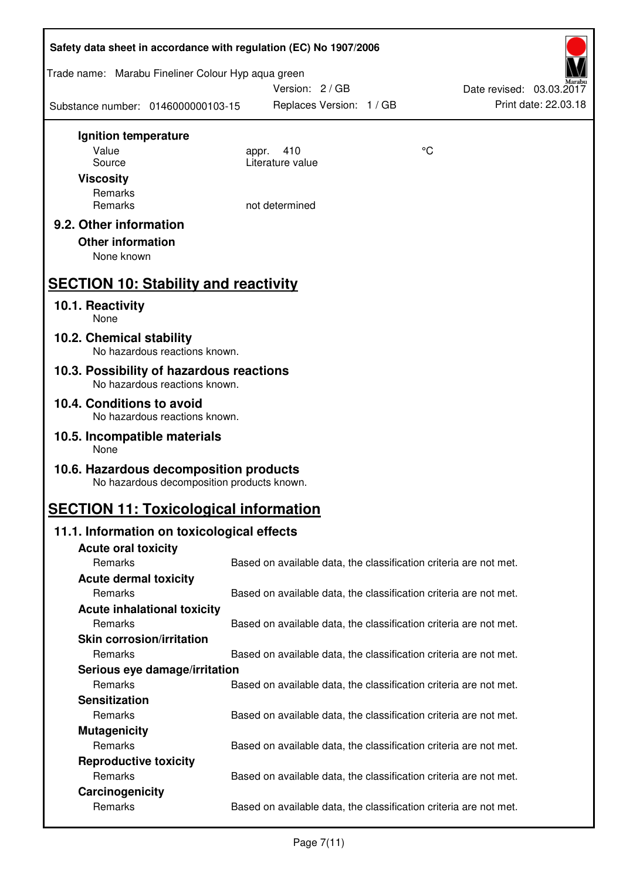| Safety data sheet in accordance with regulation (EC) No 1907/2006                    |                          |                                                                   |  |  |
|--------------------------------------------------------------------------------------|--------------------------|-------------------------------------------------------------------|--|--|
| Trade name: Marabu Fineliner Colour Hyp aqua green                                   | Version: 2/GB            | Date revised: 03.03.2017                                          |  |  |
| Substance number: 0146000000103-15                                                   | Replaces Version: 1 / GB | Print date: 22.03.18                                              |  |  |
| Ignition temperature                                                                 |                          |                                                                   |  |  |
| Value                                                                                | 410<br>appr.             | °C                                                                |  |  |
| Source                                                                               | Literature value         |                                                                   |  |  |
| <b>Viscosity</b>                                                                     |                          |                                                                   |  |  |
| Remarks<br>Remarks                                                                   | not determined           |                                                                   |  |  |
|                                                                                      |                          |                                                                   |  |  |
| 9.2. Other information                                                               |                          |                                                                   |  |  |
| <b>Other information</b>                                                             |                          |                                                                   |  |  |
| None known                                                                           |                          |                                                                   |  |  |
| <b>SECTION 10: Stability and reactivity</b>                                          |                          |                                                                   |  |  |
| 10.1. Reactivity<br>None                                                             |                          |                                                                   |  |  |
| 10.2. Chemical stability<br>No hazardous reactions known.                            |                          |                                                                   |  |  |
| 10.3. Possibility of hazardous reactions<br>No hazardous reactions known.            |                          |                                                                   |  |  |
| 10.4. Conditions to avoid                                                            |                          |                                                                   |  |  |
| No hazardous reactions known.                                                        |                          |                                                                   |  |  |
| 10.5. Incompatible materials<br>None                                                 |                          |                                                                   |  |  |
| 10.6. Hazardous decomposition products<br>No hazardous decomposition products known. |                          |                                                                   |  |  |
| <b>SECTION 11: Toxicological information</b>                                         |                          |                                                                   |  |  |
| 11.1. Information on toxicological effects                                           |                          |                                                                   |  |  |
| <b>Acute oral toxicity</b>                                                           |                          |                                                                   |  |  |
| Remarks                                                                              |                          | Based on available data, the classification criteria are not met. |  |  |
| <b>Acute dermal toxicity</b>                                                         |                          |                                                                   |  |  |
| Remarks                                                                              |                          | Based on available data, the classification criteria are not met. |  |  |
| <b>Acute inhalational toxicity</b>                                                   |                          |                                                                   |  |  |
| Remarks                                                                              |                          | Based on available data, the classification criteria are not met. |  |  |
| <b>Skin corrosion/irritation</b>                                                     |                          |                                                                   |  |  |
| Remarks                                                                              |                          | Based on available data, the classification criteria are not met. |  |  |
| Serious eye damage/irritation                                                        |                          |                                                                   |  |  |
| Remarks                                                                              |                          | Based on available data, the classification criteria are not met. |  |  |
| <b>Sensitization</b>                                                                 |                          |                                                                   |  |  |
| Remarks                                                                              |                          | Based on available data, the classification criteria are not met. |  |  |
| <b>Mutagenicity</b>                                                                  |                          |                                                                   |  |  |
| Remarks                                                                              |                          | Based on available data, the classification criteria are not met. |  |  |
| <b>Reproductive toxicity</b>                                                         |                          |                                                                   |  |  |
| Remarks<br>Carcinogenicity                                                           |                          | Based on available data, the classification criteria are not met. |  |  |
| Remarks                                                                              |                          | Based on available data, the classification criteria are not met. |  |  |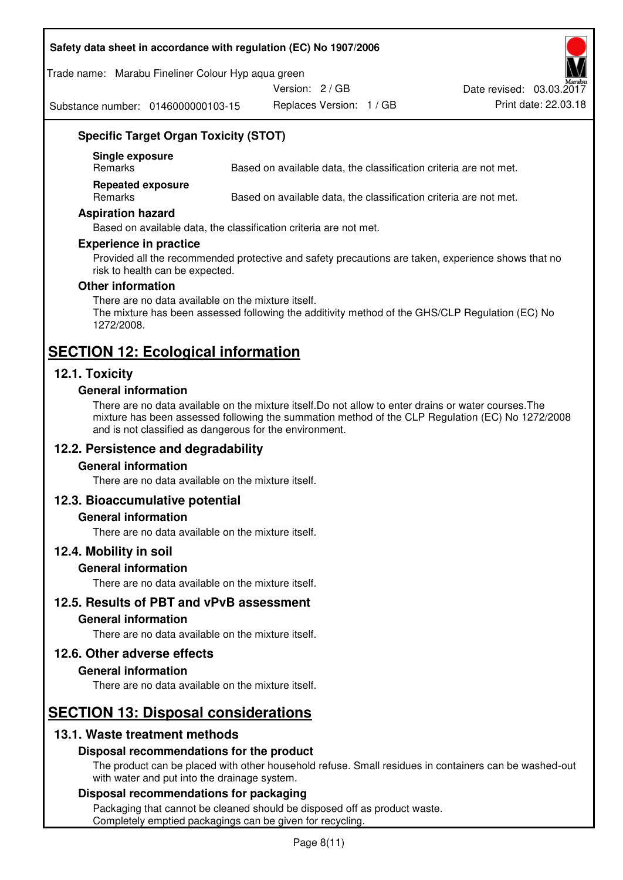#### **Safety data sheet in accordance with regulation (EC) No 1907/2006**

Trade name: Marabu Fineliner Colour Hyp aqua green

Version: 2 / GB

Substance number: 0146000000103-15

Replaces Version: 1 / GB Print date: 22.03.18 Date revised: 03.03.2017

## **Specific Target Organ Toxicity (STOT)**

**Single exposure** 

Based on available data, the classification criteria are not met.

**Repeated exposure** 

Remarks Based on available data, the classification criteria are not met.

#### **Aspiration hazard**

Based on available data, the classification criteria are not met.

#### **Experience in practice**

Provided all the recommended protective and safety precautions are taken, experience shows that no risk to health can be expected.

#### **Other information**

There are no data available on the mixture itself. The mixture has been assessed following the additivity method of the GHS/CLP Regulation (EC) No 1272/2008.

## **SECTION 12: Ecological information**

## **12.1. Toxicity**

#### **General information**

There are no data available on the mixture itself.Do not allow to enter drains or water courses.The mixture has been assessed following the summation method of the CLP Regulation (EC) No 1272/2008 and is not classified as dangerous for the environment.

## **12.2. Persistence and degradability**

#### **General information**

There are no data available on the mixture itself.

#### **12.3. Bioaccumulative potential**

#### **General information**

There are no data available on the mixture itself.

#### **12.4. Mobility in soil**

#### **General information**

There are no data available on the mixture itself.

**12.5. Results of PBT and vPvB assessment** 

#### **General information**

There are no data available on the mixture itself.

#### **12.6. Other adverse effects**

#### **General information**

There are no data available on the mixture itself.

# **SECTION 13: Disposal considerations**

## **13.1. Waste treatment methods**

#### **Disposal recommendations for the product**

The product can be placed with other household refuse. Small residues in containers can be washed-out with water and put into the drainage system.

#### **Disposal recommendations for packaging**

Packaging that cannot be cleaned should be disposed off as product waste. Completely emptied packagings can be given for recycling.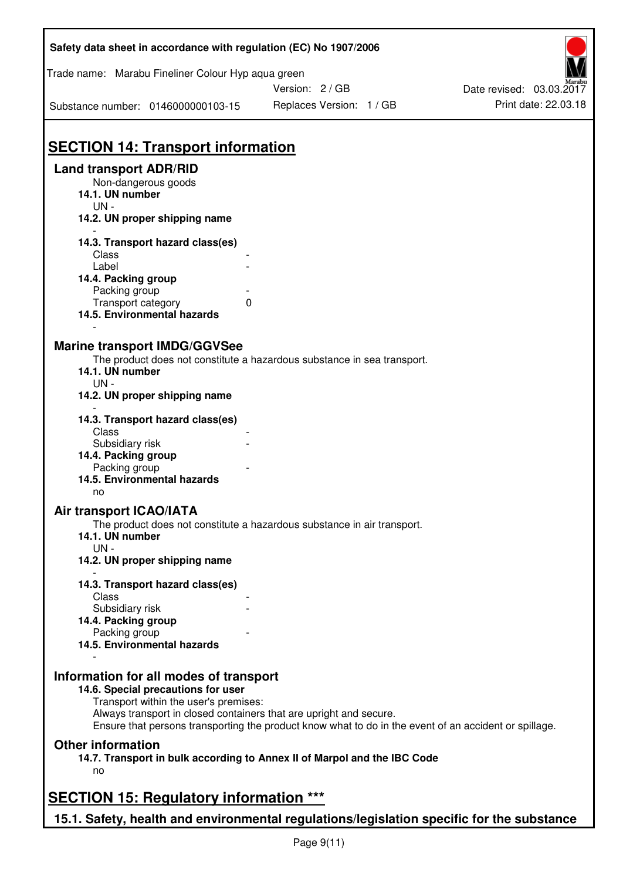| Safety data sheet in accordance with regulation (EC) No 1907/2006                         |                                                                                                       |                          |  |  |
|-------------------------------------------------------------------------------------------|-------------------------------------------------------------------------------------------------------|--------------------------|--|--|
| Trade name: Marabu Fineliner Colour Hyp aqua green                                        |                                                                                                       |                          |  |  |
|                                                                                           | Version: 2/GB                                                                                         | Date revised: 03.03.2017 |  |  |
| Substance number: 0146000000103-15                                                        | Replaces Version: 1 / GB                                                                              | Print date: 22.03.18     |  |  |
|                                                                                           |                                                                                                       |                          |  |  |
| <b>SECTION 14: Transport information</b>                                                  |                                                                                                       |                          |  |  |
| <b>Land transport ADR/RID</b>                                                             |                                                                                                       |                          |  |  |
| Non-dangerous goods<br>14.1. UN number<br>$UN -$                                          |                                                                                                       |                          |  |  |
| 14.2. UN proper shipping name                                                             |                                                                                                       |                          |  |  |
| 14.3. Transport hazard class(es)<br>Class                                                 |                                                                                                       |                          |  |  |
| Label                                                                                     |                                                                                                       |                          |  |  |
| 14.4. Packing group                                                                       |                                                                                                       |                          |  |  |
| Packing group                                                                             |                                                                                                       |                          |  |  |
| Transport category<br>14.5. Environmental hazards                                         | 0                                                                                                     |                          |  |  |
| <b>Marine transport IMDG/GGVSee</b>                                                       |                                                                                                       |                          |  |  |
|                                                                                           | The product does not constitute a hazardous substance in sea transport.                               |                          |  |  |
| 14.1. UN number<br>$UN -$                                                                 |                                                                                                       |                          |  |  |
| 14.2. UN proper shipping name                                                             |                                                                                                       |                          |  |  |
| 14.3. Transport hazard class(es)<br>Class                                                 |                                                                                                       |                          |  |  |
| Subsidiary risk                                                                           |                                                                                                       |                          |  |  |
| 14.4. Packing group                                                                       |                                                                                                       |                          |  |  |
| Packing group                                                                             |                                                                                                       |                          |  |  |
| 14.5. Environmental hazards<br>no                                                         |                                                                                                       |                          |  |  |
| <b>Air transport ICAO/IATA</b>                                                            |                                                                                                       |                          |  |  |
| 14.1. UN number<br>$UN -$                                                                 | The product does not constitute a hazardous substance in air transport.                               |                          |  |  |
| 14.2. UN proper shipping name                                                             |                                                                                                       |                          |  |  |
| 14.3. Transport hazard class(es)<br>Class                                                 |                                                                                                       |                          |  |  |
| Subsidiary risk                                                                           |                                                                                                       |                          |  |  |
| 14.4. Packing group                                                                       |                                                                                                       |                          |  |  |
| Packing group                                                                             |                                                                                                       |                          |  |  |
| 14.5. Environmental hazards                                                               |                                                                                                       |                          |  |  |
| Information for all modes of transport                                                    |                                                                                                       |                          |  |  |
| 14.6. Special precautions for user                                                        |                                                                                                       |                          |  |  |
| Transport within the user's premises:                                                     | Always transport in closed containers that are upright and secure.                                    |                          |  |  |
|                                                                                           | Ensure that persons transporting the product know what to do in the event of an accident or spillage. |                          |  |  |
| <b>Other information</b>                                                                  |                                                                                                       |                          |  |  |
| no                                                                                        | 14.7. Transport in bulk according to Annex II of Marpol and the IBC Code                              |                          |  |  |
| <b>SECTION 15: Regulatory information ***</b>                                             |                                                                                                       |                          |  |  |
| 15.1. Safety, health and environmental regulations/legislation specific for the substance |                                                                                                       |                          |  |  |
|                                                                                           |                                                                                                       |                          |  |  |

٦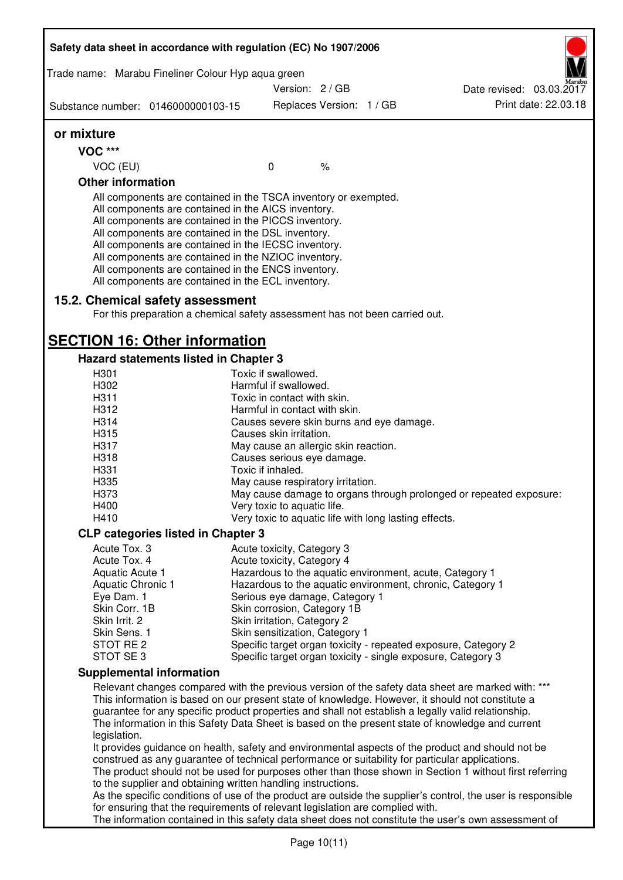| Trade name: Marabu Fineliner Colour Hyp aqua green                                                                                                                                                                                                                                                                                                                                                                                                                |                                      |                          |                                                       |                                                                                                                                                                                                       |
|-------------------------------------------------------------------------------------------------------------------------------------------------------------------------------------------------------------------------------------------------------------------------------------------------------------------------------------------------------------------------------------------------------------------------------------------------------------------|--------------------------------------|--------------------------|-------------------------------------------------------|-------------------------------------------------------------------------------------------------------------------------------------------------------------------------------------------------------|
|                                                                                                                                                                                                                                                                                                                                                                                                                                                                   | Version: 2/GB                        |                          |                                                       | Date revised: 03.03.2017                                                                                                                                                                              |
| Substance number: 0146000000103-15                                                                                                                                                                                                                                                                                                                                                                                                                                |                                      | Replaces Version: 1 / GB |                                                       | Print date: 22.03.18                                                                                                                                                                                  |
| or mixture                                                                                                                                                                                                                                                                                                                                                                                                                                                        |                                      |                          |                                                       |                                                                                                                                                                                                       |
| <b>VOC ***</b>                                                                                                                                                                                                                                                                                                                                                                                                                                                    |                                      |                          |                                                       |                                                                                                                                                                                                       |
| VOC (EU)                                                                                                                                                                                                                                                                                                                                                                                                                                                          | $\mathbf 0$                          | $\frac{1}{6}$            |                                                       |                                                                                                                                                                                                       |
| <b>Other information</b>                                                                                                                                                                                                                                                                                                                                                                                                                                          |                                      |                          |                                                       |                                                                                                                                                                                                       |
| All components are contained in the TSCA inventory or exempted.<br>All components are contained in the AICS inventory.<br>All components are contained in the PICCS inventory.<br>All components are contained in the DSL inventory.<br>All components are contained in the IECSC inventory.<br>All components are contained in the NZIOC inventory.<br>All components are contained in the ENCS inventory.<br>All components are contained in the ECL inventory. |                                      |                          |                                                       |                                                                                                                                                                                                       |
| 15.2. Chemical safety assessment                                                                                                                                                                                                                                                                                                                                                                                                                                  |                                      |                          |                                                       |                                                                                                                                                                                                       |
| For this preparation a chemical safety assessment has not been carried out.                                                                                                                                                                                                                                                                                                                                                                                       |                                      |                          |                                                       |                                                                                                                                                                                                       |
| <b>SECTION 16: Other information</b>                                                                                                                                                                                                                                                                                                                                                                                                                              |                                      |                          |                                                       |                                                                                                                                                                                                       |
| Hazard statements listed in Chapter 3                                                                                                                                                                                                                                                                                                                                                                                                                             |                                      |                          |                                                       |                                                                                                                                                                                                       |
| H301                                                                                                                                                                                                                                                                                                                                                                                                                                                              | Toxic if swallowed.                  |                          |                                                       |                                                                                                                                                                                                       |
| H302                                                                                                                                                                                                                                                                                                                                                                                                                                                              | Harmful if swallowed.                |                          |                                                       |                                                                                                                                                                                                       |
| H311                                                                                                                                                                                                                                                                                                                                                                                                                                                              | Toxic in contact with skin.          |                          |                                                       |                                                                                                                                                                                                       |
| H312                                                                                                                                                                                                                                                                                                                                                                                                                                                              | Harmful in contact with skin.        |                          |                                                       |                                                                                                                                                                                                       |
| H314                                                                                                                                                                                                                                                                                                                                                                                                                                                              |                                      |                          | Causes severe skin burns and eye damage.              |                                                                                                                                                                                                       |
| H315                                                                                                                                                                                                                                                                                                                                                                                                                                                              | Causes skin irritation.              |                          |                                                       |                                                                                                                                                                                                       |
| H317                                                                                                                                                                                                                                                                                                                                                                                                                                                              | May cause an allergic skin reaction. |                          |                                                       |                                                                                                                                                                                                       |
| H318                                                                                                                                                                                                                                                                                                                                                                                                                                                              | Causes serious eye damage.           |                          |                                                       |                                                                                                                                                                                                       |
| H331                                                                                                                                                                                                                                                                                                                                                                                                                                                              | Toxic if inhaled.                    |                          |                                                       |                                                                                                                                                                                                       |
| H335                                                                                                                                                                                                                                                                                                                                                                                                                                                              | May cause respiratory irritation.    |                          |                                                       |                                                                                                                                                                                                       |
| H373                                                                                                                                                                                                                                                                                                                                                                                                                                                              |                                      |                          |                                                       | May cause damage to organs through prolonged or repeated exposure:                                                                                                                                    |
| H400                                                                                                                                                                                                                                                                                                                                                                                                                                                              | Very toxic to aquatic life.          |                          |                                                       |                                                                                                                                                                                                       |
| H410                                                                                                                                                                                                                                                                                                                                                                                                                                                              |                                      |                          | Very toxic to aquatic life with long lasting effects. |                                                                                                                                                                                                       |
| <b>CLP categories listed in Chapter 3</b>                                                                                                                                                                                                                                                                                                                                                                                                                         |                                      |                          |                                                       |                                                                                                                                                                                                       |
| Acute Tox. 3                                                                                                                                                                                                                                                                                                                                                                                                                                                      | Acute toxicity, Category 3           |                          |                                                       |                                                                                                                                                                                                       |
| Acute Tox. 4                                                                                                                                                                                                                                                                                                                                                                                                                                                      | Acute toxicity, Category 4           |                          |                                                       |                                                                                                                                                                                                       |
| Aquatic Acute 1                                                                                                                                                                                                                                                                                                                                                                                                                                                   |                                      |                          |                                                       | Hazardous to the aquatic environment, acute, Category 1                                                                                                                                               |
| Aquatic Chronic 1                                                                                                                                                                                                                                                                                                                                                                                                                                                 |                                      |                          |                                                       | Hazardous to the aquatic environment, chronic, Category 1                                                                                                                                             |
| Eye Dam. 1                                                                                                                                                                                                                                                                                                                                                                                                                                                        | Serious eye damage, Category 1       |                          |                                                       |                                                                                                                                                                                                       |
| Skin Corr. 1B                                                                                                                                                                                                                                                                                                                                                                                                                                                     | Skin corrosion, Category 1B          |                          |                                                       |                                                                                                                                                                                                       |
| Skin Irrit. 2                                                                                                                                                                                                                                                                                                                                                                                                                                                     | Skin irritation, Category 2          |                          |                                                       |                                                                                                                                                                                                       |
| Skin Sens. 1                                                                                                                                                                                                                                                                                                                                                                                                                                                      | Skin sensitization, Category 1       |                          |                                                       |                                                                                                                                                                                                       |
| STOT RE 2                                                                                                                                                                                                                                                                                                                                                                                                                                                         |                                      |                          |                                                       | Specific target organ toxicity - repeated exposure, Category 2                                                                                                                                        |
| STOT SE 3                                                                                                                                                                                                                                                                                                                                                                                                                                                         |                                      |                          |                                                       | Specific target organ toxicity - single exposure, Category 3                                                                                                                                          |
| <b>Supplemental information</b>                                                                                                                                                                                                                                                                                                                                                                                                                                   |                                      |                          |                                                       |                                                                                                                                                                                                       |
| This information is based on our present state of knowledge. However, it should not constitute a<br>guarantee for any specific product properties and shall not establish a legally valid relationship.<br>legislation.                                                                                                                                                                                                                                           |                                      |                          |                                                       | Relevant changes compared with the previous version of the safety data sheet are marked with: ***<br>The information in this Safety Data Sheet is based on the present state of knowledge and current |
| construed as any guarantee of technical performance or suitability for particular applications.                                                                                                                                                                                                                                                                                                                                                                   |                                      |                          |                                                       | It provides guidance on health, safety and environmental aspects of the product and should not be                                                                                                     |
| The product should not be used for purposes other than those shown in Section 1 without first referring                                                                                                                                                                                                                                                                                                                                                           |                                      |                          |                                                       |                                                                                                                                                                                                       |
| to the supplier and obtaining written handling instructions.                                                                                                                                                                                                                                                                                                                                                                                                      |                                      |                          |                                                       |                                                                                                                                                                                                       |
| for ensuring that the requirements of relevant legislation are complied with.                                                                                                                                                                                                                                                                                                                                                                                     |                                      |                          |                                                       | As the specific conditions of use of the product are outside the supplier's control, the user is responsible                                                                                          |